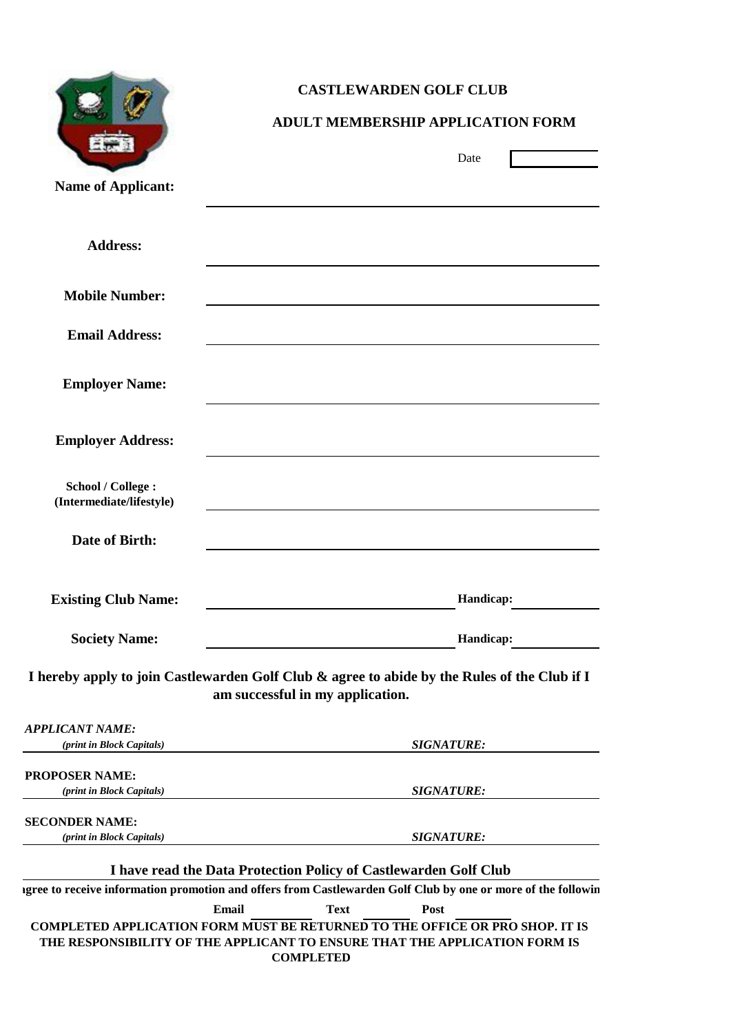|                                                           | <b>CASTLEWARDEN GOLF CLUB</b>                                                                                                                                                                                         |
|-----------------------------------------------------------|-----------------------------------------------------------------------------------------------------------------------------------------------------------------------------------------------------------------------|
|                                                           | <b>ADULT MEMBERSHIP APPLICATION FORM</b>                                                                                                                                                                              |
|                                                           | Date                                                                                                                                                                                                                  |
| <b>Name of Applicant:</b>                                 |                                                                                                                                                                                                                       |
| <b>Address:</b>                                           |                                                                                                                                                                                                                       |
| <b>Mobile Number:</b>                                     |                                                                                                                                                                                                                       |
| <b>Email Address:</b>                                     |                                                                                                                                                                                                                       |
| <b>Employer Name:</b>                                     |                                                                                                                                                                                                                       |
| <b>Employer Address:</b>                                  |                                                                                                                                                                                                                       |
| <b>School / College:</b><br>(Intermediate/lifestyle)      |                                                                                                                                                                                                                       |
| <b>Date of Birth:</b>                                     |                                                                                                                                                                                                                       |
| <b>Existing Club Name:</b>                                | Handicap:                                                                                                                                                                                                             |
| <b>Society Name:</b>                                      | Handicap:                                                                                                                                                                                                             |
|                                                           | I hereby apply to join Castlewarden Golf Club & agree to abide by the Rules of the Club if I<br>am successful in my application.                                                                                      |
| <b>APPLICANT NAME:</b><br>(print in Block Capitals)       | <b>SIGNATURE:</b>                                                                                                                                                                                                     |
| <b>PROPOSER NAME:</b><br><i>(print in Block Capitals)</i> | <b>SIGNATURE:</b>                                                                                                                                                                                                     |
| <b>SECONDER NAME:</b><br>(print in Block Capitals)        | <b>SIGNATURE:</b>                                                                                                                                                                                                     |
|                                                           | I have read the Data Protection Policy of Castlewarden Golf Club                                                                                                                                                      |
|                                                           | igree to receive information promotion and offers from Castlewarden Golf Club by one or more of the followin                                                                                                          |
|                                                           | Email<br><b>Text</b><br>Post<br><b>COMPLETED APPLICATION FORM MUST BE RETURNED TO THE OFFICE OR PRO SHOP. IT IS</b><br>THE RESPONSIBILITY OF THE APPLICANT TO ENSURE THAT THE APPLICATION FORM IS<br><b>COMPLETED</b> |